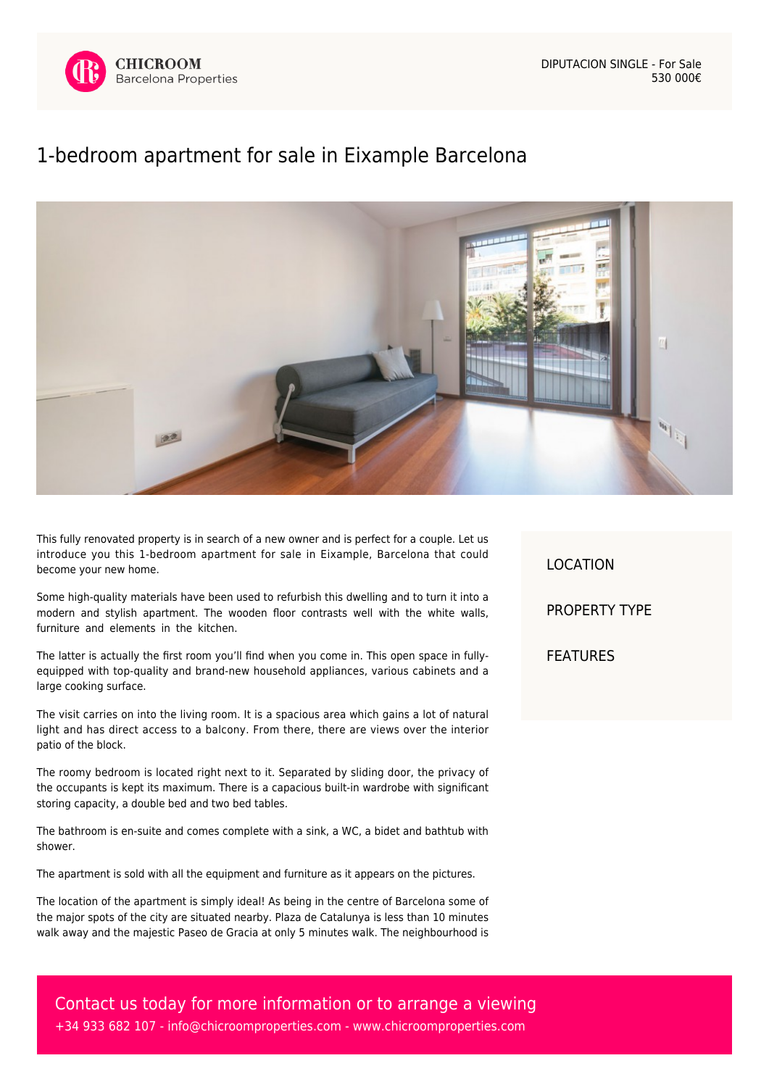



## [1-bedroom apartment for sale in Eixample Barcelona](https://www.chicroomproperties.com/en/property/867/1-bedroom-apartment-for-sale-in-eixample-barcelona/)



This fully renovated property is in search of a new owner and is perfect for a couple. Let us introduce you this 1-bedroom apartment for sale in Eixample, Barcelona that could become your new home.

Some high-quality materials have been used to refurbish this dwelling and to turn it into a modern and stylish apartment. The wooden floor contrasts well with the white walls, furniture and elements in the kitchen.

The latter is actually the first room you'll find when you come in. This open space in fullyequipped with top-quality and brand-new household appliances, various cabinets and a large cooking surface.

The visit carries on into the living room. It is a spacious area which gains a lot of natural light and has direct access to a balcony. From there, there are views over the interior patio of the block.

The roomy bedroom is located right next to it. Separated by sliding door, the privacy of the occupants is kept its maximum. There is a capacious built-in wardrobe with significant storing capacity, a double bed and two bed tables.

The bathroom is en-suite and comes complete with a sink, a WC, a bidet and bathtub with shower.

The apartment is sold with all the equipment and furniture as it appears on the pictures.

The location of the apartment is simply ideal! As being in the centre of Barcelona some of the major spots of the city are situated nearby. Plaza de Catalunya is less than 10 minutes walk away and the majestic Paseo de Gracia at only 5 minutes walk. The neighbourhood is

LOCATION PROPERTY TYPE FEATURES

Contact us today for more information or to arrange a viewing +34 933 682 107 - [info@chicroomproperties.com](mailto:info@chicroomproperties.com) - [www.chicroomproperties.com](http://www.chicroomproperties.com)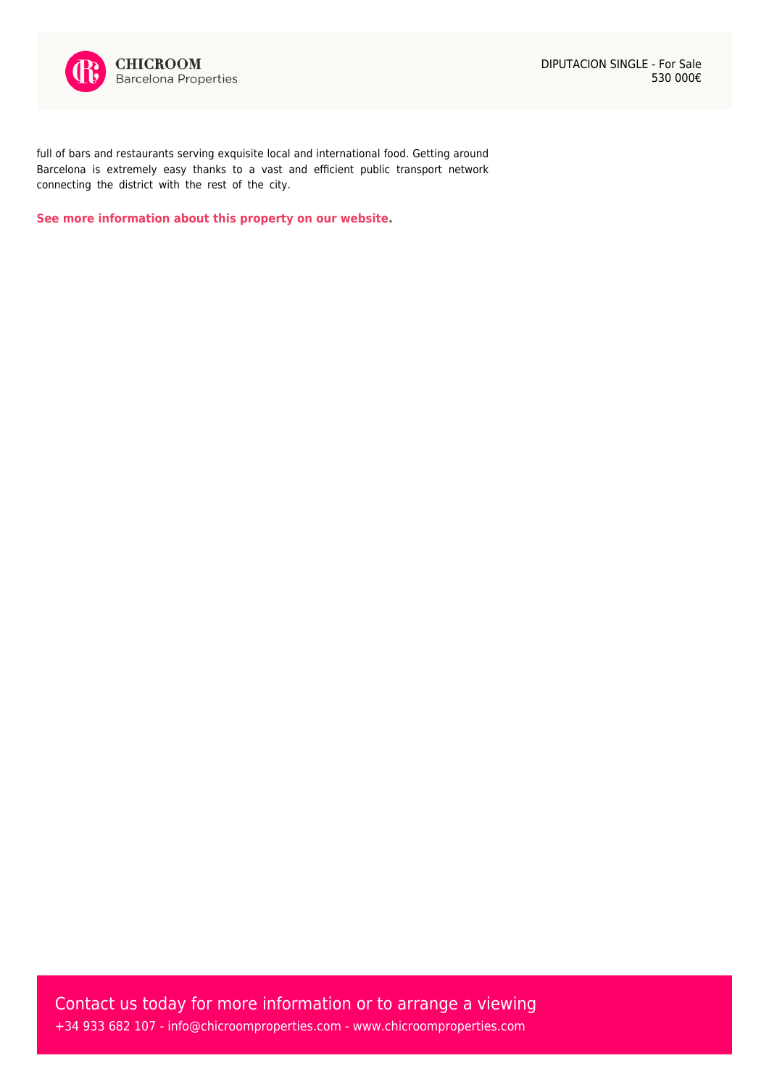

full of bars and restaurants serving exquisite local and international food. Getting around Barcelona is extremely easy thanks to a vast and efficient public transport network connecting the district with the rest of the city.

**[See more information about this property on our website.](https://www.chicroomproperties.com/en/property/867/1-bedroom-apartment-for-sale-in-eixample-barcelona/)**

Contact us today for more information or to arrange a viewing +34 933 682 107 - [info@chicroomproperties.com](mailto:info@chicroomproperties.com) - [www.chicroomproperties.com](http://www.chicroomproperties.com)